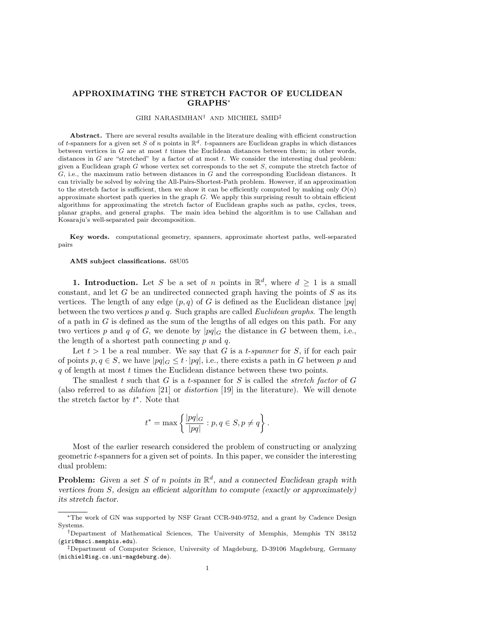## APPROXIMATING THE STRETCH FACTOR OF EUCLIDEAN GRAPHS<sup>∗</sup>

#### GIRI NARASIMHAN† AND MICHIEL SMID‡

Abstract. There are several results available in the literature dealing with efficient construction of t-spanners for a given set S of n points in  $\mathbb{R}^d$ . t-spanners are Euclidean graphs in which distances between vertices in  $G$  are at most  $t$  times the Euclidean distances between them; in other words, distances in  $G$  are "stretched" by a factor of at most  $t$ . We consider the interesting dual problem: given a Euclidean graph G whose vertex set corresponds to the set S, compute the stretch factor of  $G$ , i.e., the maximum ratio between distances in  $G$  and the corresponding Euclidean distances. It can trivially be solved by solving the All-Pairs-Shortest-Path problem. However, if an approximation to the stretch factor is sufficient, then we show it can be efficiently computed by making only  $O(n)$ approximate shortest path queries in the graph G. We apply this surprising result to obtain efficient algorithms for approximating the stretch factor of Euclidean graphs such as paths, cycles, trees, planar graphs, and general graphs. The main idea behind the algorithm is to use Callahan and Kosaraju's well-separated pair decomposition.

Key words. computational geometry, spanners, approximate shortest paths, well-separated pairs

AMS subject classifications. 68U05

**1. Introduction.** Let S be a set of n points in  $\mathbb{R}^d$ , where  $d \geq 1$  is a small constant, and let  $G$  be an undirected connected graph having the points of  $S$  as its vertices. The length of any edge  $(p,q)$  of G is defined as the Euclidean distance  $|pq|$ between the two vertices  $p$  and  $q$ . Such graphs are called *Euclidean graphs*. The length of a path in  $G$  is defined as the sum of the lengths of all edges on this path. For any two vertices p and q of G, we denote by  $|pq|_G$  the distance in G between them, i.e., the length of a shortest path connecting  $p$  and  $q$ .

Let  $t > 1$  be a real number. We say that G is a t-spanner for S, if for each pair of points  $p, q \in S$ , we have  $|pq|_G \le t \cdot |pq|$ , i.e., there exists a path in G between p and  $q$  of length at most  $t$  times the Euclidean distance between these two points.

The smallest t such that G is a t-spanner for S is called the *stretch factor* of  $G$ (also referred to as *dilation* [21] or *distortion* [19] in the literature). We will denote the stretch factor by  $t^*$ . Note that

$$
t^*=\max\left\{\frac{|pq|_G}{|pq|}: p,q\in S, p\neq q\right\}.
$$

Most of the earlier research considered the problem of constructing or analyzing geometric t-spanners for a given set of points. In this paper, we consider the interesting dual problem:

**Problem:** Given a set S of n points in  $\mathbb{R}^d$ , and a connected Euclidean graph with vertices from S, design an efficient algorithm to compute (exactly or approximately) its stretch factor.

<sup>∗</sup>The work of GN was supported by NSF Grant CCR-940-9752, and a grant by Cadence Design Systems.

<sup>†</sup>Department of Mathematical Sciences, The University of Memphis, Memphis TN 38152 (giri@msci.memphis.edu).

<sup>‡</sup>Department of Computer Science, University of Magdeburg, D-39106 Magdeburg, Germany (michiel@isg.cs.uni-magdeburg.de).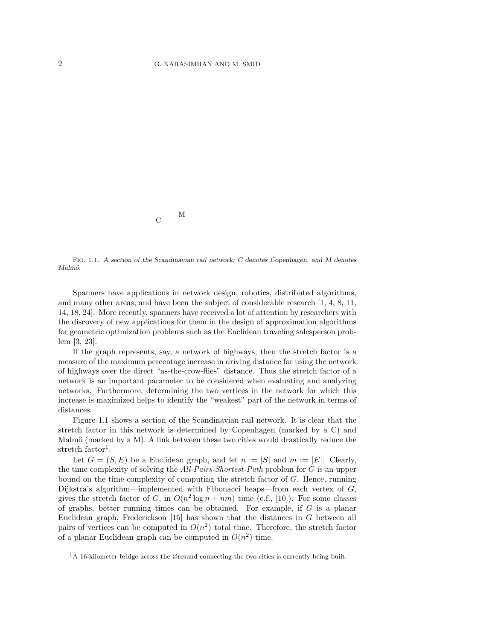

Fig. 1.1. A section of the Scandinavian rail network; C denotes Copenhagen, and M denotes Malmö.

Spanners have applications in network design, robotics, distributed algorithms, and many other areas, and have been the subject of considerable research [1, 4, 8, 11, 14, 18, 24]. More recently, spanners have received a lot of attention by researchers with the discovery of new applications for them in the design of approximation algorithms for geometric optimization problems such as the Euclidean traveling salesperson problem [3, 23].

If the graph represents, say, a network of highways, then the stretch factor is a measure of the maximum percentage increase in driving distance for using the network of highways over the direct "as-the-crow-flies" distance. Thus the stretch factor of a network is an important parameter to be considered when evaluating and analyzing networks. Furthermore, determining the two vertices in the network for which this increase is maximized helps to identify the "weakest" part of the network in terms of distances.

Figure 1.1 shows a section of the Scandinavian rail network. It is clear that the stretch factor in this network is determined by Copenhagen (marked by a C) and Malmö (marked by a M). A link between these two cities would drastically reduce the stretch factor<sup>1</sup>.

Let  $G = (S, E)$  be a Euclidean graph, and let  $n := |S|$  and  $m := |E|$ . Clearly, the time complexity of solving the All-Pairs-Shortest-Path problem for G is an upper bound on the time complexity of computing the stretch factor of G. Hence, running Dijkstra's algorithm—implemented with Fibonacci heaps—from each vertex of  $G$ , gives the stretch factor of G, in  $O(n^2 \log n + nm)$  time (c.f., [10]). For some classes of graphs, better running times can be obtained. For example, if  $G$  is a planar Euclidean graph, Frederickson  $[15]$  has shown that the distances in G between all pairs of vertices can be computed in  $O(n^2)$  total time. Therefore, the stretch factor of a planar Euclidean graph can be computed in  $O(n^2)$  time.

<sup>&</sup>lt;sup>1</sup>A 16-kilometer bridge across the Øresund connecting the two cities is currently being built.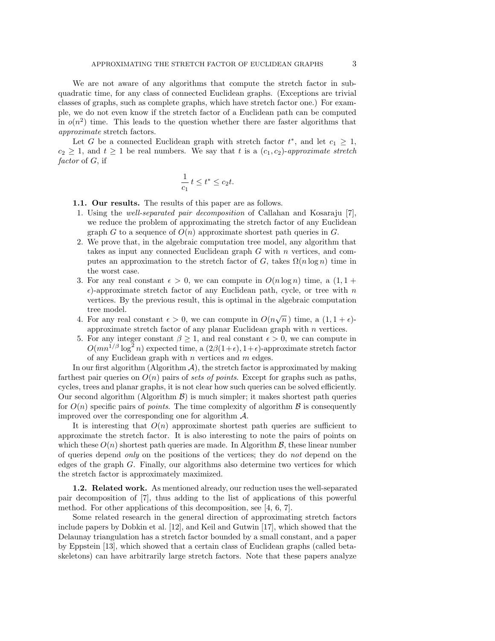We are not aware of any algorithms that compute the stretch factor in subquadratic time, for any class of connected Euclidean graphs. (Exceptions are trivial classes of graphs, such as complete graphs, which have stretch factor one.) For example, we do not even know if the stretch factor of a Euclidean path can be computed in  $o(n^2)$  time. This leads to the question whether there are faster algorithms that approximate stretch factors.

Let G be a connected Euclidean graph with stretch factor  $t^*$ , and let  $c_1 \geq 1$ ,  $c_2 \geq 1$ , and  $t \geq 1$  be real numbers. We say that t is a  $(c_1, c_2)$ -approximate stretch factor of G, if

$$
\frac{1}{c_1}t \le t^* \le c_2t.
$$

1.1. Our results. The results of this paper are as follows.

- 1. Using the well-separated pair decomposition of Callahan and Kosaraju [7], we reduce the problem of approximating the stretch factor of any Euclidean graph G to a sequence of  $O(n)$  approximate shortest path queries in G.
- 2. We prove that, in the algebraic computation tree model, any algorithm that takes as input any connected Euclidean graph G with n vertices, and computes an approximation to the stretch factor of G, takes  $\Omega(n \log n)$  time in the worst case.
- 3. For any real constant  $\epsilon > 0$ , we can compute in  $O(n \log n)$  time, a  $(1, 1 +$  $\epsilon$ )-approximate stretch factor of any Euclidean path, cycle, or tree with n vertices. By the previous result, this is optimal in the algebraic computation tree model.
- 4. For any real constant  $\epsilon > 0$ , we can compute in  $O(n)$  $\overline{n}$ ) time, a  $(1, 1 + \epsilon)$ approximate stretch factor of any planar Euclidean graph with  $n$  vertices.
- 5. For any integer constant  $\beta \geq 1$ , and real constant  $\epsilon > 0$ , we can compute in  $O(mn^{1/\beta} \log^2 n)$  expected time, a  $(2\beta(1+\epsilon), 1+\epsilon)$ -approximate stretch factor of any Euclidean graph with  $n$  vertices and  $m$  edges.

In our first algorithm (Algorithm  $\mathcal{A}$ ), the stretch factor is approximated by making farthest pair queries on  $O(n)$  pairs of sets of points. Except for graphs such as paths, cycles, trees and planar graphs, it is not clear how such queries can be solved efficiently. Our second algorithm (Algorithm  $\beta$ ) is much simpler; it makes shortest path queries for  $O(n)$  specific pairs of *points*. The time complexity of algorithm  $\beta$  is consequently improved over the corresponding one for algorithm  $\mathcal{A}$ .

It is interesting that  $O(n)$  approximate shortest path queries are sufficient to approximate the stretch factor. It is also interesting to note the pairs of points on which these  $O(n)$  shortest path queries are made. In Algorithm  $\mathcal{B}$ , these linear number of queries depend only on the positions of the vertices; they do not depend on the edges of the graph G. Finally, our algorithms also determine two vertices for which the stretch factor is approximately maximized.

1.2. Related work. As mentioned already, our reduction uses the well-separated pair decomposition of [7], thus adding to the list of applications of this powerful method. For other applications of this decomposition, see [4, 6, 7].

Some related research in the general direction of approximating stretch factors include papers by Dobkin et al. [12], and Keil and Gutwin [17], which showed that the Delaunay triangulation has a stretch factor bounded by a small constant, and a paper by Eppstein [13], which showed that a certain class of Euclidean graphs (called betaskeletons) can have arbitrarily large stretch factors. Note that these papers analyze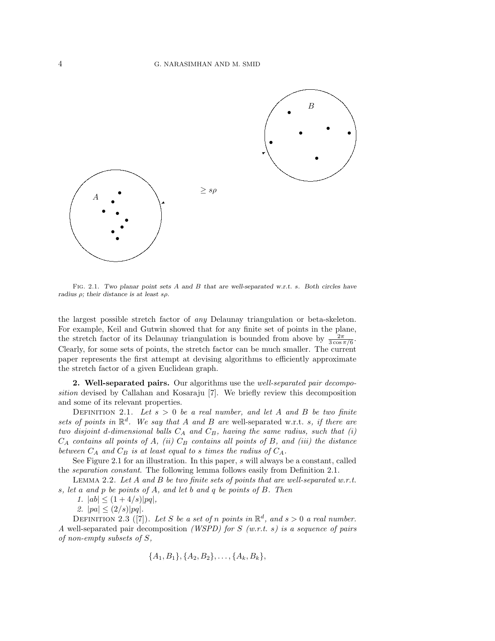

FIG. 2.1. Two planar point sets A and B that are well-separated w.r.t. s. Both circles have radius  $\rho$ ; their distance is at least  $s\rho$ .

the largest possible stretch factor of any Delaunay triangulation or beta-skeleton. For example, Keil and Gutwin showed that for any finite set of points in the plane, the stretch factor of its Delaunay triangulation is bounded from above by  $\frac{2\pi}{3\cos(\pi/6)}$ . Clearly, for some sets of points, the stretch factor can be much smaller. The current paper represents the first attempt at devising algorithms to efficiently approximate the stretch factor of a given Euclidean graph.

2. Well-separated pairs. Our algorithms use the well-separated pair decomposition devised by Callahan and Kosaraju [7]. We briefly review this decomposition and some of its relevant properties.

DEFINITION 2.1. Let  $s > 0$  be a real number, and let A and B be two finite sets of points in  $\mathbb{R}^d$ . We say that A and B are well-separated w.r.t. s, if there are two disjoint d-dimensional balls  $C_A$  and  $C_B$ , having the same radius, such that (i)  $C_A$  contains all points of A, (ii)  $C_B$  contains all points of B, and (iii) the distance between  $C_A$  and  $C_B$  is at least equal to s times the radius of  $C_A$ .

See Figure 2.1 for an illustration. In this paper, s will always be a constant, called the separation constant. The following lemma follows easily from Definition 2.1.

LEMMA 2.2. Let A and B be two finite sets of points that are well-separated w.r.t. s, let a and p be points of A, and let b and q be points of B. Then

1.  $|ab| \leq (1+4/s)|pq|$ ,

2.  $|pa| \leq (2/s)|pq|$ .

DEFINITION 2.3 ([7]). Let S be a set of n points in  $\mathbb{R}^d$ , and  $s > 0$  a real number. A well-separated pair decomposition (WSPD) for S (w.r.t. s) is a sequence of pairs of non-empty subsets of S,

$$
\{A_1, B_1\}, \{A_2, B_2\}, \ldots, \{A_k, B_k\},\
$$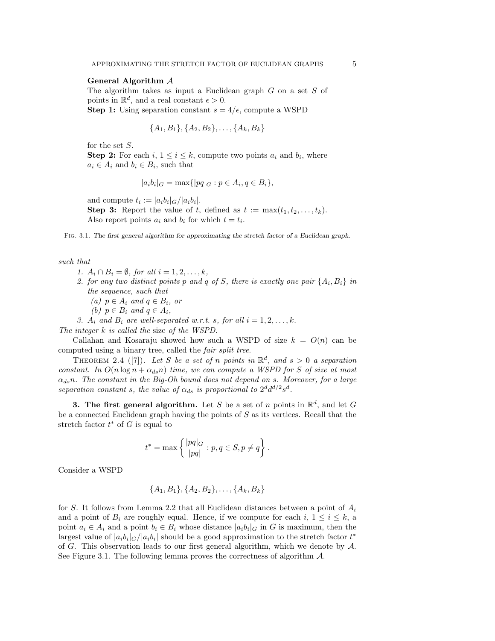#### General Algorithm A

The algorithm takes as input a Euclidean graph  $G$  on a set  $S$  of points in  $\mathbb{R}^d$ , and a real constant  $\epsilon > 0$ .

**Step 1:** Using separation constant  $s = 4/\epsilon$ , compute a WSPD

$$
\{A_1, B_1\}, \{A_2, B_2\}, \ldots, \{A_k, B_k\}
$$

for the set  $S$ .

**Step 2:** For each  $i, 1 \leq i \leq k$ , compute two points  $a_i$  and  $b_i$ , where  $a_i \in A_i$  and  $b_i \in B_i$ , such that

$$
|a_i b_i|_G = \max\{|pq|_G : p \in A_i, q \in B_i\},\
$$

and compute  $t_i := |a_i b_i|_G / |a_i b_i|$ .

**Step 3:** Report the value of t, defined as  $t := max(t_1, t_2, \ldots, t_k)$ . Also report points  $a_i$  and  $b_i$  for which  $t = t_i$ .

Fig. 3.1. The first general algorithm for approximating the stretch factor of a Euclidean graph.

such that

- 1.  $A_i \cap B_i = \emptyset$ , for all  $i = 1, 2, \ldots, k$ ,
- 2. for any two distinct points p and q of S, there is exactly one pair  $\{A_i, B_i\}$  in the sequence, such that
	- (a)  $p \in A_i$  and  $q \in B_i$ , or
	- (b)  $p \in B_i$  and  $q \in A_i$ ,
- 3.  $A_i$  and  $B_i$  are well-separated w.r.t. s, for all  $i = 1, 2, ..., k$ .

The integer k is called the size of the WSPD.

Callahan and Kosaraju showed how such a WSPD of size  $k = O(n)$  can be computed using a binary tree, called the fair split tree.

THEOREM 2.4 ([7]). Let S be a set of n points in  $\mathbb{R}^d$ , and  $s > 0$  a separation constant. In  $O(n \log n + \alpha_{ds} n)$  time, we can compute a WSPD for S of size at most  $\alpha_{ds}$ n. The constant in the Big-Oh bound does not depend on s. Moreover, for a large separation constant s, the value of  $\alpha_{ds}$  is proportional to  $2^d d^{d/2} s^d$ .

**3.** The first general algorithm. Let S be a set of n points in  $\mathbb{R}^d$ , and let G be a connected Euclidean graph having the points of  $S$  as its vertices. Recall that the stretch factor  $t^*$  of G is equal to

$$
t^*=\max\left\{\frac{|pq|_G}{|pq|}: p,q\in S, p\neq q\right\}.
$$

Consider a WSPD

$$
\{A_1, B_1\}, \{A_2, B_2\}, \ldots, \{A_k, B_k\}
$$

for S. It follows from Lemma 2.2 that all Euclidean distances between a point of  $A_i$ and a point of  $B_i$  are roughly equal. Hence, if we compute for each i,  $1 \leq i \leq k$ , a point  $a_i \in A_i$  and a point  $b_i \in B_i$  whose distance  $|a_i b_i|_G$  in G is maximum, then the largest value of  $|a_i b_i|_G/|a_i b_i|$  should be a good approximation to the stretch factor  $t^*$ of G. This observation leads to our first general algorithm, which we denote by  $\mathcal{A}$ . See Figure 3.1. The following lemma proves the correctness of algorithm  $\mathcal{A}$ .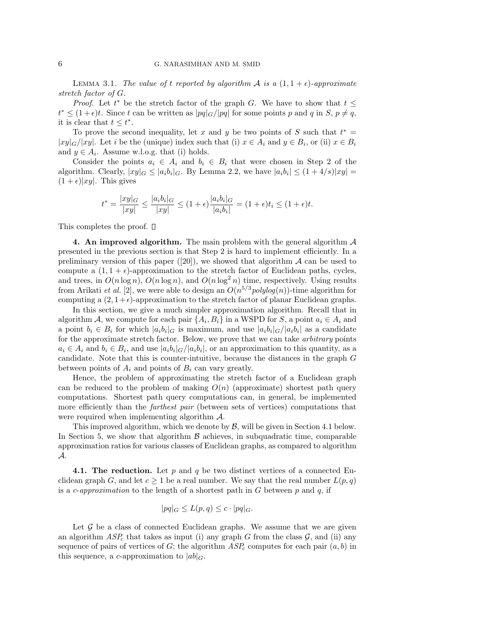LEMMA 3.1. The value of t reported by algorithm A is a  $(1, 1 + \epsilon)$ -approximate stretch factor of G.

*Proof.* Let  $t^*$  be the stretch factor of the graph G. We have to show that  $t \leq$  $t^* \leq (1+\epsilon)t$ . Since t can be written as  $|pq|_G/|pq|$  for some points p and q in  $S, p \neq q$ , it is clear that  $t \leq t^*$ .

To prove the second inequality, let x and y be two points of S such that  $t^* =$  $|xy|_G/|xy|$ . Let i be the (unique) index such that (i)  $x \in A_i$  and  $y \in B_i$ , or (ii)  $x \in B_i$ and  $y \in A_i$ . Assume w.l.o.g. that (i) holds.

Consider the points  $a_i \in A_i$  and  $b_i \in B_i$  that were chosen in Step 2 of the algorithm. Clearly,  $|xy|_G \leq |a_i b_i|_G$ . By Lemma 2.2, we have  $|a_i b_i| \leq (1+4/s)|xy| =$  $(1 + \epsilon)|xy|$ . This gives

$$
t^* = \frac{|xy|_G}{|xy|} \le \frac{|a_ib_i|_G}{|xy|} \le (1+\epsilon)\frac{|a_ib_i|_G}{|a_ib_i|} = (1+\epsilon)t_i \le (1+\epsilon)t.
$$

This completes the proof.  $\Box$ 

4. An improved algorithm. The main problem with the general algorithm  $\mathcal A$ presented in the previous section is that Step 2 is hard to implement efficiently. In a preliminary version of this paper  $([20])$ , we showed that algorithm  $\mathcal A$  can be used to compute a  $(1, 1 + \epsilon)$ -approximation to the stretch factor of Euclidean paths, cycles, and trees, in  $O(n \log n)$ ,  $O(n \log n)$ , and  $O(n \log^2 n)$  time, respectively. Using results from Arikati *et al.* [2], we were able to design an  $O(n^{5/3}polylog(n))$ -time algorithm for computing a  $(2, 1+\epsilon)$ -approximation to the stretch factor of planar Euclidean graphs.

In this section, we give a much simpler approximation algorithm. Recall that in algorithm A, we compute for each pair  $\{A_i, B_i\}$  in a WSPD for S, a point  $a_i \in A_i$  and a point  $b_i \in B_i$  for which  $|a_i b_i|_G$  is maximum, and use  $|a_i b_i|_G/|a_i b_i|$  as a candidate for the approximate stretch factor. Below, we prove that we can take arbitrary points  $a_i \in A_i$  and  $b_i \in B_i$ , and use  $|a_i b_i|_G/|a_i b_i|$ , or an approximation to this quantity, as a candidate. Note that this is counter-intuitive, because the distances in the graph G between points of  $A_i$  and points of  $B_i$  can vary greatly.

Hence, the problem of approximating the stretch factor of a Euclidean graph can be reduced to the problem of making  $O(n)$  (approximate) shortest path query computations. Shortest path query computations can, in general, be implemented more efficiently than the *farthest pair* (between sets of vertices) computations that were required when implementing algorithm  $\mathcal{A}$ .

This improved algorithm, which we denote by  $\mathcal{B}$ , will be given in Section 4.1 below. In Section 5, we show that algorithm  $\beta$  achieves, in subquadratic time, comparable approximation ratios for various classes of Euclidean graphs, as compared to algorithm A.

**4.1. The reduction.** Let p and q be two distinct vertices of a connected Euclidean graph G, and let  $c \geq 1$  be a real number. We say that the real number  $L(p,q)$ is a c-approximation to the length of a shortest path in  $G$  between  $p$  and  $q$ , if

$$
|pq|_G \le L(p,q) \le c \cdot |pq|_G.
$$

Let  $\mathcal G$  be a class of connected Euclidean graphs. We assume that we are given an algorithm  $ASP_c$  that takes as input (i) any graph G from the class  $\mathcal{G}$ , and (ii) any sequence of pairs of vertices of G; the algorithm  $ASP_c$  computes for each pair  $(a, b)$  in this sequence, a c-approximation to  $|ab|_G$ .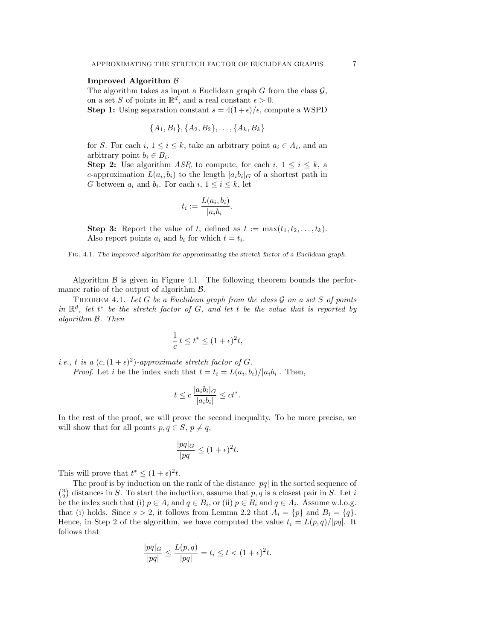## Improved Algorithm  $\beta$

The algorithm takes as input a Euclidean graph  $G$  from the class  $\mathcal{G},$ on a set S of points in  $\mathbb{R}^d$ , and a real constant  $\epsilon > 0$ .

**Step 1:** Using separation constant  $s = 4(1+\epsilon)/\epsilon$ , compute a WSPD

$$
\{A_1, B_1\}, \{A_2, B_2\}, \ldots, \{A_k, B_k\}
$$

for S. For each  $i, 1 \leq i \leq k$ , take an arbitrary point  $a_i \in A_i$ , and an arbitrary point  $b_i \in B_i$ .

**Step 2:** Use algorithm  $ASP_c$  to compute, for each  $i, 1 \leq i \leq k$ , a c-approximation  $L(a_i, b_i)$  to the length  $|a_i b_i|_G$  of a shortest path in G between  $a_i$  and  $b_i$ . For each  $i, 1 \leq i \leq k$ , let

$$
t_i := \frac{L(a_i, b_i)}{|a_i b_i|}.
$$

**Step 3:** Report the value of t, defined as  $t := max(t_1, t_2, \ldots, t_k)$ . Also report points  $a_i$  and  $b_i$  for which  $t = t_i$ .

Fig. 4.1. The improved algorithm for approximating the stretch factor of a Euclidean graph.

Algorithm  $\beta$  is given in Figure 4.1. The following theorem bounds the performance ratio of the output of algorithm  $\beta$ .

THEOREM 4.1. Let G be a Euclidean graph from the class  $\mathcal G$  on a set S of points in  $\mathbb{R}^d$ , let t<sup>\*</sup> be the stretch factor of G, and let t be the value that is reported by algorithm B. Then

$$
\frac{1}{c}t \le t^* \le (1+\epsilon)^2 t,
$$

*i.e.*, *t* is a  $(c, (1+\epsilon)^2)$ -approximate stretch factor of G.

*Proof.* Let *i* be the index such that  $t = t_i = L(a_i, b_i)/|a_ib_i|$ . Then,

$$
t \leq c \, \frac{|a_i b_i|_G}{|a_i b_i|} \leq ct^*.
$$

In the rest of the proof, we will prove the second inequality. To be more precise, we will show that for all points  $p, q \in S, p \neq q$ ,

$$
\frac{|pq|_G}{|pq|} \le (1+\epsilon)^2 t.
$$

This will prove that  $t^* \leq (1+\epsilon)^2 t$ .

The proof is by induction on the rank of the distance  $|pq|$  in the sorted sequence of  $\binom{n}{2}$  distances in S. To start the induction, assume that p, q is a closest pair in S. Let i be the index such that (i)  $p \in A_i$  and  $q \in B_i$ , or (ii)  $p \in B_i$  and  $q \in A_i$ . Assume w.l.o.g. that (i) holds. Since  $s > 2$ , it follows from Lemma 2.2 that  $A_i = \{p\}$  and  $B_i = \{q\}$ . Hence, in Step 2 of the algorithm, we have computed the value  $t_i = L(p,q)/|pq|$ . It follows that

$$
\frac{|pq|_G}{|pq|} \le \frac{L(p,q)}{|pq|} = t_i \le t < (1+\epsilon)^2 t.
$$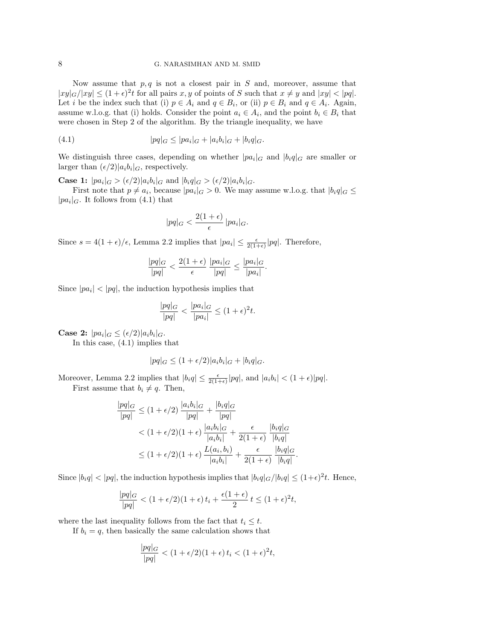### 8 G. NARASIMHAN AND M. SMID

Now assume that  $p, q$  is not a closest pair in  $S$  and, moreover, assume that  $|xy|_G/|xy| \leq (1+\epsilon)^2 t$  for all pairs x, y of points of S such that  $x \neq y$  and  $|xy| < |pq|$ . Let *i* be the index such that (i)  $p \in A_i$  and  $q \in B_i$ , or (ii)  $p \in B_i$  and  $q \in A_i$ . Again, assume w.l.o.g. that (i) holds. Consider the point  $a_i \in A_i$ , and the point  $b_i \in B_i$  that were chosen in Step 2 of the algorithm. By the triangle inequality, we have

(4.1) 
$$
|pq|_G \le |pa_i|_G + |a_ib_i|_G + |b_iq|_G.
$$

We distinguish three cases, depending on whether  $|pa_i|_G$  and  $|b_iq|_G$  are smaller or larger than  $(\epsilon/2)|a_ib_i|_G$ , respectively.

**Case 1:**  $|pa_i|_G > (\epsilon/2)|a_i b_i|_G$  and  $|b_i q|_G > (\epsilon/2)|a_i b_i|_G$ .

First note that  $p \neq a_i$ , because  $|pa_i|_G > 0$ . We may assume w.l.o.g. that  $|b_i q|_G \leq$  $|pa_i|_G$ . It follows from (4.1) that

$$
|pq|_G < \frac{2(1+\epsilon)}{\epsilon} |pa_i|_G.
$$

Since  $s = 4(1 + \epsilon)/\epsilon$ , Lemma 2.2 implies that  $|pa_i| \leq \frac{\epsilon}{2(1+\epsilon)}|pq|$ . Therefore,

$$
\frac{|pq|_G}{|pq|} < \frac{2(1+\epsilon)}{\epsilon} \frac{|pa_i|_G}{|pq|} \le \frac{|pa_i|_G}{|pa_i|}
$$

.

.

Since  $|pa_i| < |pq|$ , the induction hypothesis implies that

$$
\frac{|pq|_G}{|pq|} < \frac{|pa_i|_G}{|pa_i|} \leq (1+\epsilon)^2 t.
$$

Case 2:  $|pa_i|_G \leq (\epsilon/2)|a_ib_i|_G$ .

In this case, (4.1) implies that

$$
|pq|_G \le (1 + \epsilon/2)|a_ib_i|_G + |b_iq|_G.
$$

Moreover, Lemma 2.2 implies that  $|b_i q| \leq \frac{\epsilon}{2(1+\epsilon)} |pq|$ , and  $|a_i b_i| < (1+\epsilon)|pq|$ .

First assume that  $b_i \neq q$ . Then,

$$
\frac{|pq|_G}{|pq|} \le (1 + \epsilon/2) \frac{|a_ib_i|_G}{|pq|} + \frac{|b_iq|_G}{|pq|}
$$
  

$$
< (1 + \epsilon/2)(1 + \epsilon) \frac{|a_ib_i|_G}{|a_ib_i|} + \frac{\epsilon}{2(1 + \epsilon)} \frac{|b_iq|_G}{|b_iq|}
$$
  

$$
\le (1 + \epsilon/2)(1 + \epsilon) \frac{L(a_i, b_i)}{|a_ib_i|} + \frac{\epsilon}{2(1 + \epsilon)} \frac{|b_iq|_G}{|b_iq|}
$$

Since  $|b_i q| < |pq|$ , the induction hypothesis implies that  $|b_i q| \leq (1+\epsilon)^2 t$ . Hence,

$$
\frac{|pq|_G}{|pq|} < (1+\epsilon/2)(1+\epsilon)t_i + \frac{\epsilon(1+\epsilon)}{2}t \le (1+\epsilon)^2 t,
$$

where the last inequality follows from the fact that  $t_i \leq t$ .

If  $b_i = q$ , then basically the same calculation shows that

$$
\frac{|pq|_G}{|pq|} < (1+\epsilon/2)(1+\epsilon)\,t_i < (1+\epsilon)^2 t,
$$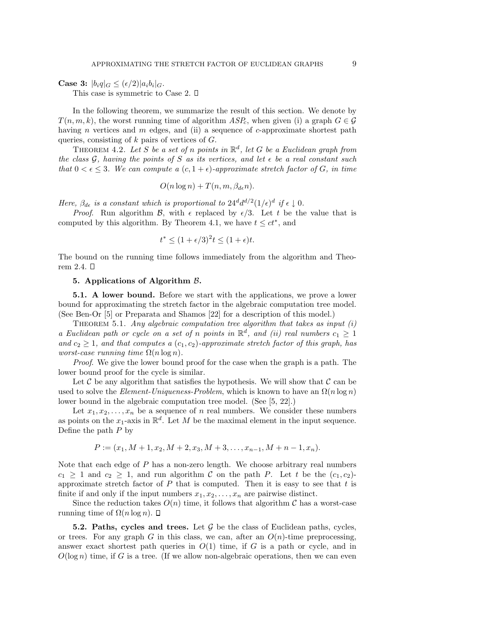Case 3:  $|b_i q|_G \leq (\epsilon/2)|a_i b_i|_G$ .

This case is symmetric to Case 2.  $\square$ 

In the following theorem, we summarize the result of this section. We denote by  $T(n, m, k)$ , the worst running time of algorithm  $ASP_c$ , when given (i) a graph  $G \in \mathcal{G}$ having n vertices and  $m$  edges, and (ii) a sequence of  $c$ -approximate shortest path queries, consisting of  $k$  pairs of vertices of  $G$ .

THEOREM 4.2. Let S be a set of n points in  $\mathbb{R}^d$ , let G be a Euclidean graph from the class  $G$ , having the points of S as its vertices, and let  $\epsilon$  be a real constant such that  $0 < \epsilon \leq 3$ . We can compute a  $(c, 1 + \epsilon)$ -approximate stretch factor of G, in time

$$
O(n\log n) + T(n, m, \beta_{d\epsilon} n).
$$

Here,  $\beta_{d\epsilon}$  is a constant which is proportional to  $24^d d^{d/2} (1/\epsilon)^d$  if  $\epsilon \downarrow 0$ .

*Proof.* Run algorithm B, with  $\epsilon$  replaced by  $\epsilon/3$ . Let t be the value that is computed by this algorithm. By Theorem 4.1, we have  $t \leq ct^*$ , and

$$
t^* \le (1 + \epsilon/3)^2 t \le (1 + \epsilon)t.
$$

The bound on the running time follows immediately from the algorithm and Theorem  $2.4. \square$ 

# 5. Applications of Algorithm  $\beta$ .

5.1. A lower bound. Before we start with the applications, we prove a lower bound for approximating the stretch factor in the algebraic computation tree model. (See Ben-Or [5] or Preparata and Shamos [22] for a description of this model.)

THEOREM 5.1. Any algebraic computation tree algorithm that takes as input  $(i)$ a Euclidean path or cycle on a set of n points in  $\mathbb{R}^d$ , and (ii) real numbers  $c_1 \geq 1$ and  $c_2 \geq 1$ , and that computes a  $(c_1, c_2)$ -approximate stretch factor of this graph, has worst-case running time  $\Omega(n \log n)$ .

Proof. We give the lower bound proof for the case when the graph is a path. The lower bound proof for the cycle is similar.

Let  $\mathcal C$  be any algorithm that satisfies the hypothesis. We will show that  $\mathcal C$  can be used to solve the Element-Uniqueness-Problem, which is known to have an  $\Omega(n \log n)$ lower bound in the algebraic computation tree model. (See [5, 22].)

Let  $x_1, x_2, \ldots, x_n$  be a sequence of n real numbers. We consider these numbers as points on the  $x_1$ -axis in  $\mathbb{R}^d$ . Let M be the maximal element in the input sequence. Define the path P by

$$
P := (x_1, M+1, x_2, M+2, x_3, M+3, \dots, x_{n-1}, M+n-1, x_n).
$$

Note that each edge of  $P$  has a non-zero length. We choose arbitrary real numbers  $c_1 \geq 1$  and  $c_2 \geq 1$ , and run algorithm C on the path P. Let t be the  $(c_1, c_2)$ approximate stretch factor of  $P$  that is computed. Then it is easy to see that  $t$  is finite if and only if the input numbers  $x_1, x_2, \ldots, x_n$  are pairwise distinct.

Since the reduction takes  $O(n)$  time, it follows that algorithm C has a worst-case running time of  $\Omega(n \log n)$ .  $\Box$ 

**5.2. Paths, cycles and trees.** Let  $\mathcal G$  be the class of Euclidean paths, cycles, or trees. For any graph G in this class, we can, after an  $O(n)$ -time preprocessing, answer exact shortest path queries in  $O(1)$  time, if G is a path or cycle, and in  $O(\log n)$  time, if G is a tree. (If we allow non-algebraic operations, then we can even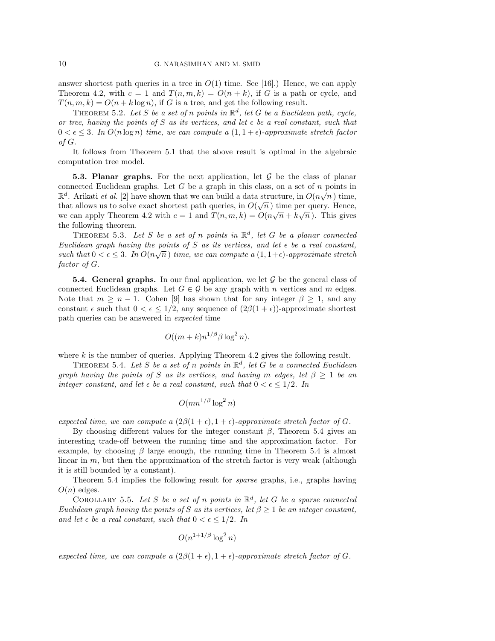answer shortest path queries in a tree in  $O(1)$  time. See [16].) Hence, we can apply Theorem 4.2, with  $c = 1$  and  $T(n, m, k) = O(n + k)$ , if G is a path or cycle, and  $T(n, m, k) = O(n + k \log n)$ , if G is a tree, and get the following result.

THEOREM 5.2. Let S be a set of n points in  $\mathbb{R}^d$ , let G be a Euclidean path, cycle, or tree, having the points of S as its vertices, and let  $\epsilon$  be a real constant, such that  $0 < \epsilon < 3$ . In  $O(n \log n)$  time, we can compute a  $(1, 1 + \epsilon)$ -approximate stretch factor of  $G$ .

It follows from Theorem 5.1 that the above result is optimal in the algebraic computation tree model.

**5.3. Planar graphs.** For the next application, let  $\mathcal{G}$  be the class of planar connected Euclidean graphs. Let  $G$  be a graph in this class, on a set of  $n$  points in  $\mathbb{R}^d$ . Arikati *et al.* [2] have shown that we can build a data structure, in  $O(n\sqrt{n})$  time, that allows us to solve exact shortest path queries, in  $O(\sqrt{n})$  time per query. Hence, we can apply Theorem 4.2 with  $c = 1$  and  $T(n, m, k) = O(n\sqrt{n} + k\sqrt{n})$ . This gives the following theorem.

THEOREM 5.3. Let S be a set of n points in  $\mathbb{R}^d$ , let G be a planar connected Euclidean graph having the points of S as its vertices, and let  $\epsilon$  be a real constant, such that  $0 < \epsilon \leq 3$ . In  $O(n\sqrt{n})$  time, we can compute a  $(1, 1+\epsilon)$ -approximate stretch factor of G.

**5.4. General graphs.** In our final application, we let  $\mathcal{G}$  be the general class of connected Euclidean graphs. Let  $G \in \mathcal{G}$  be any graph with n vertices and m edges. Note that  $m \geq n - 1$ . Cohen [9] has shown that for any integer  $\beta \geq 1$ , and any constant  $\epsilon$  such that  $0 < \epsilon \leq 1/2$ , any sequence of  $(2\beta(1+\epsilon))$ -approximate shortest path queries can be answered in expected time

$$
O((m+k)n^{1/\beta}\beta\log^2 n).
$$

where  $k$  is the number of queries. Applying Theorem 4.2 gives the following result.

THEOREM 5.4. Let S be a set of n points in  $\mathbb{R}^d$ , let G be a connected Euclidean graph having the points of S as its vertices, and having m edges, let  $\beta > 1$  be an integer constant, and let  $\epsilon$  be a real constant, such that  $0 < \epsilon < 1/2$ . In

$$
O(mn^{1/\beta}\log^2 n)
$$

expected time, we can compute a  $(2\beta(1+\epsilon), 1+\epsilon)$ -approximate stretch factor of G.

By choosing different values for the integer constant  $\beta$ , Theorem 5.4 gives an interesting trade-off between the running time and the approximation factor. For example, by choosing  $\beta$  large enough, the running time in Theorem 5.4 is almost linear in m, but then the approximation of the stretch factor is very weak (although it is still bounded by a constant).

Theorem 5.4 implies the following result for sparse graphs, i.e., graphs having  $O(n)$  edges.

COROLLARY 5.5. Let S be a set of n points in  $\mathbb{R}^d$ , let G be a sparse connected Euclidean graph having the points of S as its vertices, let  $\beta \geq 1$  be an integer constant, and let  $\epsilon$  be a real constant, such that  $0 < \epsilon \leq 1/2$ . In

$$
O(n^{1+1/\beta}\log^2 n)
$$

expected time, we can compute a  $(2\beta(1+\epsilon), 1+\epsilon)$ -approximate stretch factor of G.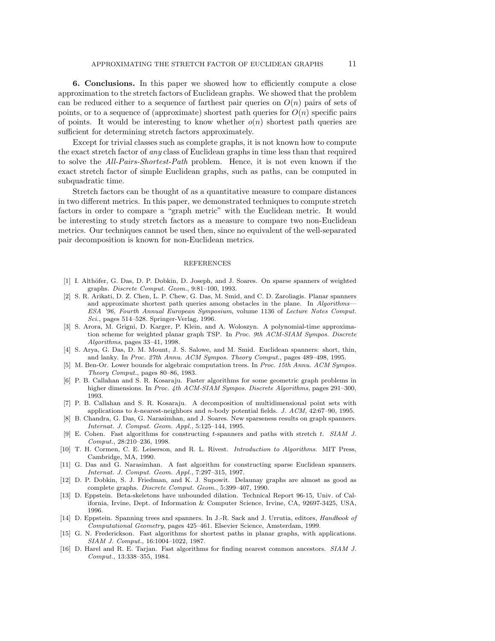6. Conclusions. In this paper we showed how to efficiently compute a close approximation to the stretch factors of Euclidean graphs. We showed that the problem can be reduced either to a sequence of farthest pair queries on  $O(n)$  pairs of sets of points, or to a sequence of (approximate) shortest path queries for  $O(n)$  specific pairs of points. It would be interesting to know whether  $o(n)$  shortest path queries are sufficient for determining stretch factors approximately.

Except for trivial classes such as complete graphs, it is not known how to compute the exact stretch factor of any class of Euclidean graphs in time less than that required to solve the All-Pairs-Shortest-Path problem. Hence, it is not even known if the exact stretch factor of simple Euclidean graphs, such as paths, can be computed in subquadratic time.

Stretch factors can be thought of as a quantitative measure to compare distances in two different metrics. In this paper, we demonstrated techniques to compute stretch factors in order to compare a "graph metric" with the Euclidean metric. It would be interesting to study stretch factors as a measure to compare two non-Euclidean metrics. Our techniques cannot be used then, since no equivalent of the well-separated pair decomposition is known for non-Euclidean metrics.

## REFERENCES

- [1] I. Althöfer, G. Das, D. P. Dobkin, D. Joseph, and J. Soares. On sparse spanners of weighted graphs. Discrete Comput. Geom., 9:81–100, 1993.
- [2] S. R. Arikati, D. Z. Chen, L. P. Chew, G. Das, M. Smid, and C. D. Zaroliagis. Planar spanners and approximate shortest path queries among obstacles in the plane. In Algorithms— ESA '96, Fourth Annual European Symposium, volume 1136 of Lecture Notes Comput. Sci., pages 514–528. Springer-Verlag, 1996.
- [3] S. Arora, M. Grigni, D. Karger, P. Klein, and A. Woloszyn. A polynomial-time approximation scheme for weighted planar graph TSP. In Proc. 9th ACM-SIAM Sympos. Discrete Algorithms, pages 33–41, 1998.
- [4] S. Arya, G. Das, D. M. Mount, J. S. Salowe, and M. Smid. Euclidean spanners: short, thin, and lanky. In Proc. 27th Annu. ACM Sympos. Theory Comput., pages 489–498, 1995.
- [5] M. Ben-Or. Lower bounds for algebraic computation trees. In Proc. 15th Annu. ACM Sympos. Theory Comput., pages 80–86, 1983.
- [6] P. B. Callahan and S. R. Kosaraju. Faster algorithms for some geometric graph problems in higher dimensions. In Proc. 4th ACM-SIAM Sympos. Discrete Algorithms, pages 291–300, 1993.
- [7] P. B. Callahan and S. R. Kosaraju. A decomposition of multidimensional point sets with applications to k-nearest-neighbors and n-body potential fields. J. ACM, 42:67–90, 1995.
- [8] B. Chandra, G. Das, G. Narasimhan, and J. Soares. New sparseness results on graph spanners. Internat. J. Comput. Geom. Appl., 5:125–144, 1995.
- [9] E. Cohen. Fast algorithms for constructing t-spanners and paths with stretch t. SIAM J. Comput., 28:210–236, 1998.
- [10] T. H. Cormen, C. E. Leiserson, and R. L. Rivest. Introduction to Algorithms. MIT Press, Cambridge, MA, 1990.
- [11] G. Das and G. Narasimhan. A fast algorithm for constructing sparse Euclidean spanners. Internat. J. Comput. Geom. Appl., 7:297–315, 1997.
- [12] D. P. Dobkin, S. J. Friedman, and K. J. Supowit. Delaunay graphs are almost as good as complete graphs. Discrete Comput. Geom., 5:399–407, 1990.
- [13] D. Eppstein. Beta-skeletons have unbounded dilation. Technical Report 96-15, Univ. of California, Irvine, Dept. of Information & Computer Science, Irvine, CA, 92697-3425, USA, 1996.
- [14] D. Eppstein. Spanning trees and spanners. In J.-R. Sack and J. Urrutia, editors, *Handbook of* Computational Geometry, pages 425–461. Elsevier Science, Amsterdam, 1999.
- [15] G. N. Frederickson. Fast algorithms for shortest paths in planar graphs, with applications. SIAM J. Comput., 16:1004–1022, 1987.
- [16] D. Harel and R. E. Tarjan. Fast algorithms for finding nearest common ancestors. SIAM J. Comput., 13:338–355, 1984.